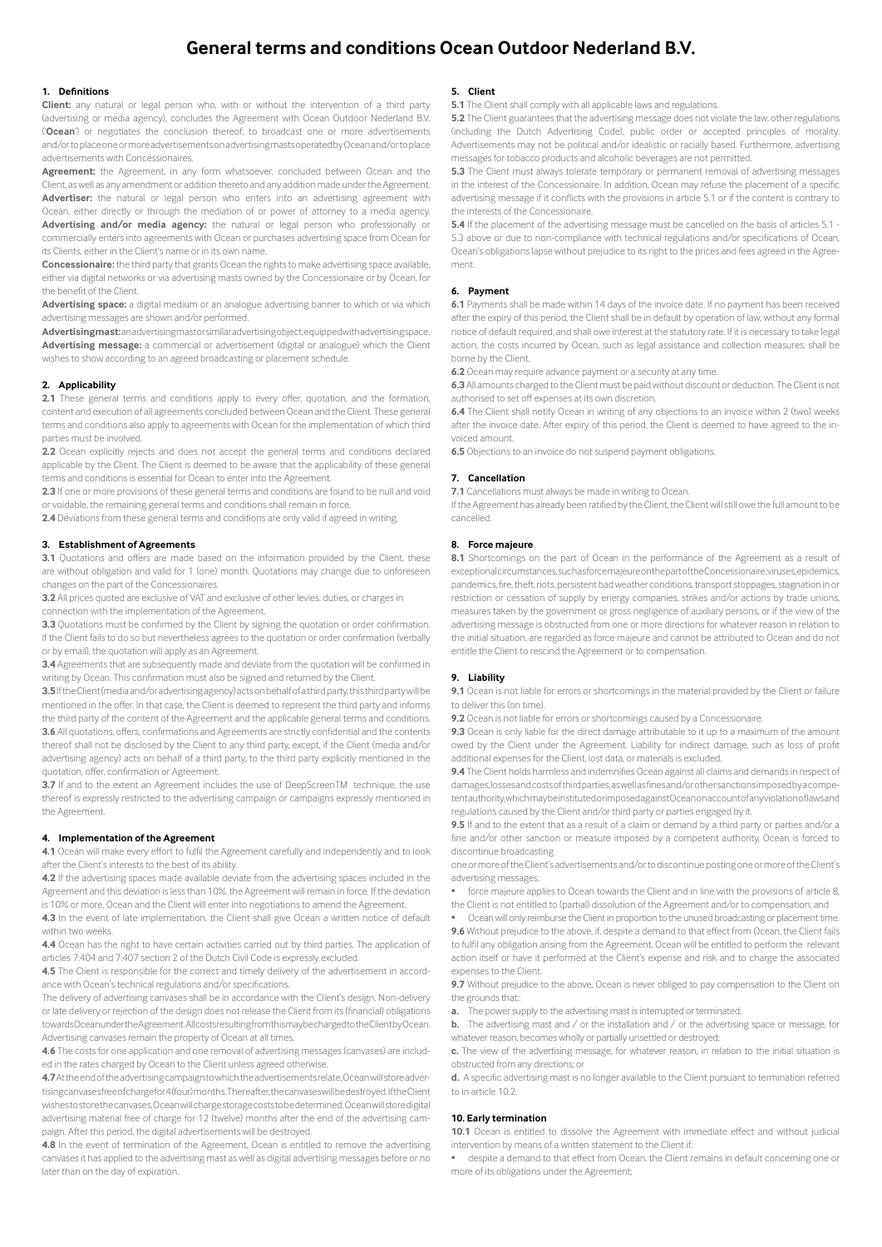# **General terms and conditions Ocean Outdoor Nederland B.V.**

# **1. Definitions**

**Client:** any natural or legal person who, with or without the intervention of a third party (advertising or media agency), concludes the Agreement with Ocean Outdoor Nederland B.V. ('**Ocean**') or negotiates the conclusion thereof, to broadcast one or more advertisements and/or to place one or more advertisements on advertising masts operated by Ocean and/or to place advertisements with Concessionaires.

**Agreement:** the Agreement, in any form whatsoever, concluded between Ocean and the Client, as well as any amendment or addition thereto and any addition made under the Agreement. Advertiser: the natural or legal person who enters into an advertising agreement with Ocean, either directly or through the mediation of or power of attorney to a media agency. **Advertising and/or media agency:** the natural or legal person who professionally or commercially enters into agreements with Ocean or purchases advertising space from Ocean for its Clients, either in the Client's name or in its own name.

**Concessionaire:** the third party that grants Ocean the rights to make advertising space available, either via digital networks or via advertising masts owned by the Concessionaire or by Ocean, for the benefit of the Client.

**Advertising space:** a digital medium or an analogue advertising banner to which or via which advertising messages are shown and/or performed.

Advertising mast: an advertising mast or similar advertising object, equipped with advertising space. **Advertising message:** a commercial or advertisement (digital or analogue) which the Client wishes to show according to an agreed broadcasting or placement schedule.

## **2. Applicability**

**2.1** These general terms and conditions apply to every offer, quotation, and the formation, content and execution of all agreements concluded between Ocean and the Client. These general terms and conditions also apply to agreements with Ocean for the implementation of which third parties must be involved.

**2.2** Ocean explicitly rejects and does not accept the general terms and conditions declared applicable by the Client. The Client is deemed to be aware that the applicability of these general terms and conditions is essential for Ocean to enter into the Agreement.

**2.3** If one or more provisions of these general terms and conditions are found to be null and void or voidable, the remaining general terms and conditions shall remain in force.

**2.4** Deviations from these general terms and conditions are only valid if agreed in writing.

# **3. Establishment of Agreements**

**3.1** Quotations and offers are made based on the information provided by the Client, these are without obligation and valid for 1 (one) month. Quotations may change due to unforeseen changes on the part of the Concessionaires.

**3.2** All prices quoted are exclusive of VAT and exclusive of other levies, duties, or charges in

connection with the implementation of the Agreement.

**3.3** Quotations must be confirmed by the Client by signing the quotation or order confirmation. If the Client fails to do so but nevertheless agrees to the quotation or order confirmation (verbally or by email), the quotation will apply as an Agreement.

**3.4** Agreements that are subsequently made and deviate from the quotation will be confirmed in writing by Ocean. This confirmation must also be signed and returned by the Client.

**3.5** If the Client (media and/or advertising agency) acts on behalf of a third party, this third party will be mentioned in the offer. In that case, the Client is deemed to represent the third party and informs the third party of the content of the Agreement and the applicable general terms and conditions. **3.6** All quotations, offers, confirmations and Agreements are strictly confidential and the contents thereof shall not be disclosed by the Client to any third party, except, if the Client (media and/or advertising agency) acts on behalf of a third party, to the third party explicitly mentioned in the quotation, offer, confirmation or Agreement.

**3.7** If and to the extent an Agreement includes the use of DeepScreenTM technique, the use thereof is expressly restricted to the advertising campaign or campaigns expressly mentioned in the Agreement.

#### **4. Implementation of the Agreement**

**4.1** Ocean will make every effort to fulfil the Agreement carefully and independently and to look after the Client's interests to the best of its ability.

**4.2** If the advertising spaces made available deviate from the advertising spaces included in the Agreement and this deviation is less than 10%, the Agreement will remain in force. If the deviation is 10% or more, Ocean and the Client will enter into negotiations to amend the Agreement.

**4.3** In the event of late implementation, the Client shall give Ocean a written notice of default within two weeks.

**4.4** Ocean has the right to have certain activities carried out by third parties. The application of articles 7:404 and 7:407 section 2 of the Dutch Civil Code is expressly excluded.

**4.5** The Client is responsible for the correct and timely delivery of the advertisement in accordance with Ocean's technical regulations and/or specifications.

The delivery of advertising canvases shall be in accordance with the Client's design. Non-delivery or late delivery or rejection of the design does not release the Client from its (financial) obligations towards Ocean under the Agreement. All costs resulting from this may be charged to the Client by Ocean. Advertising canvases remain the property of Ocean at all times.

**4.6** The costs for one application and one removal of advertising messages (canvases) are included in the rates charged by Ocean to the Client unless agreed otherwise.

**4.7** At the end of the advertising campaign to which the advertisements relate, Ocean will store advertising canvases free of charge for 4 (four) months. Thereafter, the canvases will be destroyed. If the Client wishes to store the canvases, Ocean will charge storage costs to be determined. Ocean will store digital advertising material free of charge for 12 (twelve) months after the end of the advertising campaign. After this period, the digital advertisements will be destroyed.

**4.8** In the event of termination of the Agreement, Ocean is entitled to remove the advertising canvases it has applied to the advertising mast as well as digital advertising messages before or no later than on the day of expiration.

# **5. Client**

**5.1** The Client shall comply with all applicable laws and regulations.

**5.2** The Client guarantees that the advertising message does not violate the law, other regulations (including the Dutch Advertising Code), public order or accepted principles of morality. Advertisements may not be political and/or idealistic or racially based. Furthermore, advertising messages for tobacco products and alcoholic beverages are not permitted.

**5.3** The Client must always tolerate temporary or permanent removal of advertising messages in the interest of the Concessionaire. In addition, Ocean may refuse the placement of a specific advertising message if it conflicts with the provisions in article 5.1 or if the content is contrary to the interests of the Concessionaire.

**5.4** If the placement of the advertising message must be cancelled on the basis of articles 5.1 - 5.3 above or due to non-compliance with technical regulations and/or specifications of Ocean, Ocean's obligations lapse without prejudice to its right to the prices and fees agreed in the Agreement.

## **6. Payment**

**6.1** Payments shall be made within 14 days of the invoice date. If no payment has been received after the expiry of this period, the Client shall be in default by operation of law, without any formal notice of default required, and shall owe interest at the statutory rate. If it is necessary to take legal action, the costs incurred by Ocean, such as legal assistance and collection measures, shall be borne by the Client.

**6.2** Ocean may require advance payment or a security at any time.

**6.3** All amounts charged to the Client must be paid without discount or deduction. The Client is not authorised to set off expenses at its own discretion.

**6.4** The Client shall notify Ocean in writing of any objections to an invoice within 2 (two) weeks after the invoice date. After expiry of this period, the Client is deemed to have agreed to the invoiced amount.

**6.5** Objections to an invoice do not suspend payment obligations.

# **7. Cancellation**

**7.1** Cancellations must always be made in writing to Ocean.

If the Agreement has already been ratified by the Client, the Client will still owe the full amount to be cancelled.

# **8. Force majeure**

8.1 Shortcomings on the part of Ocean in the performance of the Agreement as a result of exceptional circumstances, such as force majeure on the part of the Concessionaire, viruses, epidemics, pandemics, fire, theft, riots, persistent bad weather conditions, transport stoppages, stagnation in or restriction or cessation of supply by energy companies, strikes and/or actions by trade unions, measures taken by the government or gross negligence of auxiliary persons, or if the view of the advertising message is obstructed from one or more directions for whatever reason in relation to the initial situation, are regarded as force majeure and cannot be attributed to Ocean and do not entitle the Client to rescind the Agreement or to compensation.

## **9. Liability**

**9.1** Ocean is not liable for errors or shortcomings in the material provided by the Client or failure to deliver this (on time).

**9.2** Ocean is not liable for errors or shortcomings caused by a Concessionaire.

**9.3** Ocean is only liable for the direct damage attributable to it up to a maximum of the amount owed by the Client under the Agreement. Liability for indirect damage, such as loss of profit additional expenses for the Client, lost data, or materials is excluded.

**9.4** The Client holds harmless and indemnifies Ocean against all claims and demands in respect of damages, losses and costs of third parties, as well as fines and/or other sanctions imposed by a competent authority, which may be instituted or imposed against Ocean on account of any violation of laws and regulations caused by the Client and/or third party or parties engaged by it.

**9.5** If and to the extent that as a result of a claim or demand by a third party or parties and/or a fine and/or other sanction or measure imposed by a competent authority, Ocean is forced to discontinue broadcasting

one or more of the Client's advertisements and/or to discontinue posting one or more of the Client's advertising messages:

- force majeure applies to Ocean towards the Client and in line with the provisions of article 8, the Client is not entitled to (partial) dissolution of the Agreement and/or to compensation; and
- Ocean will only reimburse the Client in proportion to the unused broadcasting or placement time.

**9.6** Without prejudice to the above, if, despite a demand to that effect from Ocean, the Client fails to fulfil any obligation arising from the Agreement, Ocean will be entitled to perform the relevant action itself or have it performed at the Client's expense and risk and to charge the associated expenses to the Client.

**9.7** Without prejudice to the above, Ocean is never obliged to pay compensation to the Client on the grounds that::

**a.** The power supply to the advertising mast is interrupted or terminated;

**b.** The advertising mast and / or the installation and / or the advertising space or message, for whatever reason, becomes wholly or partially unsettled or destroyed;

**c.** The view of the advertising message, for whatever reason, in relation to the initial situation is obstructed from any directions; or

**d.** A specific advertising mast is no longer available to the Client pursuant to termination referred to in article 10.2.

## **10. Early termination**

**10.1** Ocean is entitled to dissolve the Agreement with immediate effect and without judicial intervention by means of a written statement to the Client if:

• despite a demand to that effect from Ocean, the Client remains in default concerning one or more of its obligations under the Agreement;